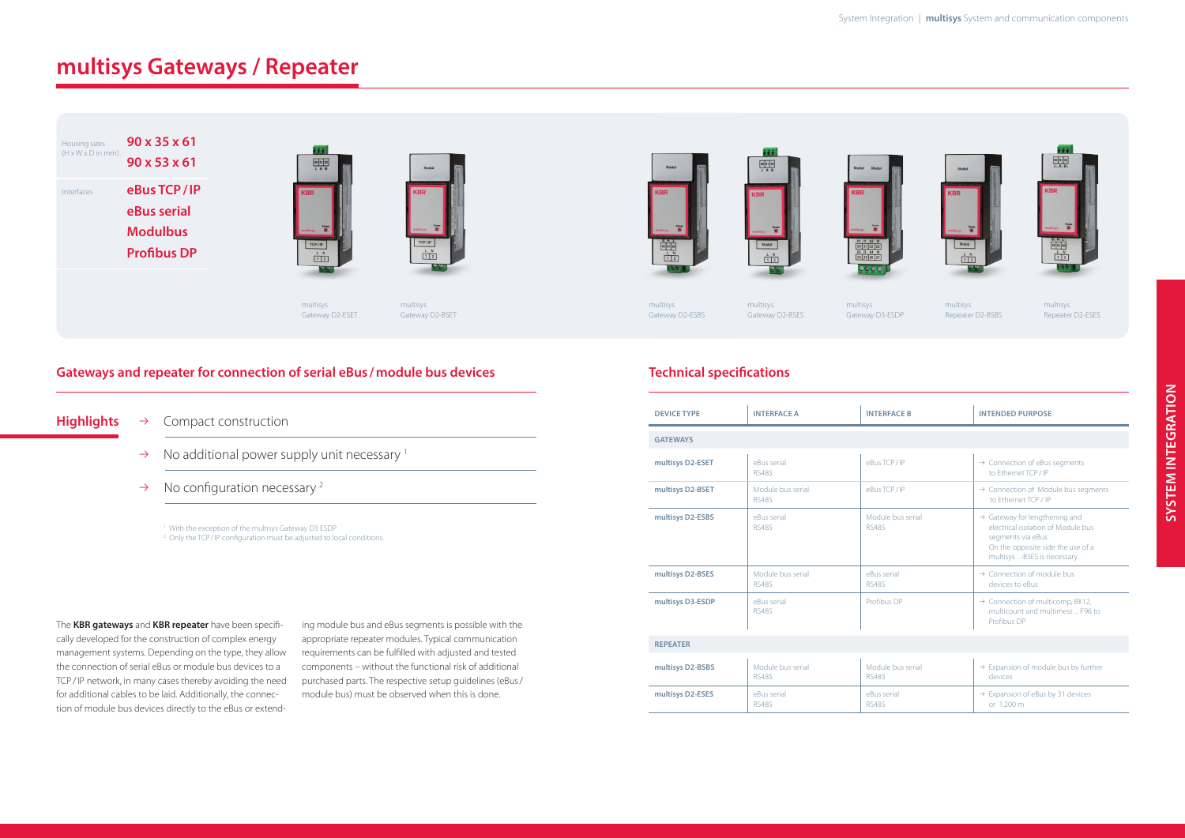### **Gateways and repeater for connection of serial eBus /module bus devices**

- Highlights  $\rightarrow$  Compact construction
	- $\rightarrow$  No additional power supply unit necessary <sup>1</sup>
	- $\rightarrow$  No configuration necessary <sup>2</sup>

<sup>1</sup> With the exception of the multisys Gateway D3 ESDP. <sup>2</sup> Only the TCP/IP configuration must be adjusted to local conditions.

## **multisys Gateways / Repeater**

The **KBR gateways** and **KBR repeater** have been specifically developed for the construction of complex energy management systems. Depending on the type, they allow the connection of serial eBus or module bus devices to a TCP/IP network, in many cases thereby avoiding the need for additional cables to be laid. Additionally, the connection of module bus devices directly to the eBus or extending module bus and eBus segments is possible with the appropriate repeater modules. Typical communication requirements can be fulfilled with adjusted and tested components – without the functional risk of additional purchased parts. The respective setup guidelines (eBus/ module bus) must be observed when this is done.

multisys



multisys Gateway D2-BSET

 $\begin{array}{|c|c|c|}\n\hline\n1 & 2 \\
\hline\n\end{array}$ 









multisys Gateway D2-ESBS

multisys Gateway D2-BSES multisys Repeater D2-ESES

### **Technical specifications**

| <b>DEVICE TYPE</b> | <b>INTERFACE A</b>                | <b>INTERFACE B</b>                | <b>INTENDED PURPOSE</b>                                                                                                                                                    |
|--------------------|-----------------------------------|-----------------------------------|----------------------------------------------------------------------------------------------------------------------------------------------------------------------------|
| <b>GATEWAYS</b>    |                                   |                                   |                                                                                                                                                                            |
| multisys D2-ESET   | eBus serial<br><b>RS485</b>       | eBus TCP/IP                       | $\rightarrow$ Connection of eBus segments<br>to Ethernet TCP/IP                                                                                                            |
| multisys D2-BSET   | Module bus serial<br>RS485        | eBus TCP/IP                       | $\rightarrow$ Connection of Module bus segments<br>to Ethernet TCP / IP                                                                                                    |
| multisys D2-ESBS   | eBus serial<br><b>RS485</b>       | Module bus serial<br><b>RS485</b> | $\rightarrow$ Gateway for lengthening and<br>electrical isolation of Module bus<br>segments via eBus.<br>On the opposite side the use of a<br>multisys -BSES is necessary. |
| multisys D2-BSES   | Module bus serial<br>RS485        | eBus serial<br><b>RS485</b>       | $\rightarrow$ Connection of module bus<br>devices to eBus                                                                                                                  |
| multisys D3-ESDP   | eBus serial<br><b>RS485</b>       | Profibus DP                       | $\rightarrow$ Connection of multicomp, BK12,<br>multicount and multimess  F96 to<br>Profibus DP                                                                            |
| <b>REPEATER</b>    |                                   |                                   |                                                                                                                                                                            |
| multisys D2-BSBS   | Module bus serial<br><b>RS485</b> | Module bus serial<br><b>RS485</b> | $\rightarrow$ Expansion of module bus by further<br>devices                                                                                                                |
| multieve DO_ECEC   | oRue corial                       | oRue corial                       | $\rightarrow$ Expansion of abus by 31 dovices                                                                                                                              |

| <b>DEVICE TYPE</b> | <b>INTERFACE A</b>                | <b>INTERFACE B</b>                | <b>INTENDED PURPOSE</b>                                                                                                                                                    |  |  |  |
|--------------------|-----------------------------------|-----------------------------------|----------------------------------------------------------------------------------------------------------------------------------------------------------------------------|--|--|--|
| <b>GATEWAYS</b>    |                                   |                                   |                                                                                                                                                                            |  |  |  |
| multisys D2-ESET   | eBus serial<br><b>RS485</b>       | eBus TCP/IP                       | $\rightarrow$ Connection of eBus segments<br>to Ethernet TCP/IP                                                                                                            |  |  |  |
| multisys D2-BSET   | Module bus serial<br><b>RS485</b> | eBus TCP/IP                       | $\rightarrow$ Connection of Module bus segments<br>to Ethernet TCP / IP                                                                                                    |  |  |  |
| multisys D2-ESBS   | eBus serial<br><b>RS485</b>       | Module bus serial<br><b>RS485</b> | $\rightarrow$ Gateway for lengthening and<br>electrical isolation of Module bus<br>segments via eBus.<br>On the opposite side the use of a<br>multisys -BSES is necessary. |  |  |  |
| multisys D2-BSES   | Module bus serial<br><b>RS485</b> | eBus serial<br><b>RS485</b>       | $\rightarrow$ Connection of module bus<br>devices to eBus                                                                                                                  |  |  |  |
| multisys D3-ESDP   | eBus serial<br><b>RS485</b>       | Profibus DP                       | $\rightarrow$ Connection of multicomp, BK12,<br>multicount and multimess  F96 to<br>Profibus DP                                                                            |  |  |  |
| <b>REPEATER</b>    |                                   |                                   |                                                                                                                                                                            |  |  |  |
| multisys D2-BSBS   | Module bus serial<br><b>RS485</b> | Module bus serial<br><b>RS485</b> | $\rightarrow$ Expansion of module bus by further<br>devices                                                                                                                |  |  |  |
| multisys D2-ESES   | eBus serial<br><b>RS485</b>       | eBus serial<br><b>RS485</b>       | $\rightarrow$ Expansion of eBus by 31 devices<br>or 1,200 m                                                                                                                |  |  |  |





| Housing sizes                  | 90 x 35 x 61                                                        |
|--------------------------------|---------------------------------------------------------------------|
| $(H \times W \times D)$ in mm) | $90 \times 53 \times 61$                                            |
| Interfaces                     | eBus TCP/IP<br>eBus serial<br><b>Modulbus</b><br><b>Profibus DP</b> |



multisys Gateway D3-ESDP multisys Repeater D2-BSBS

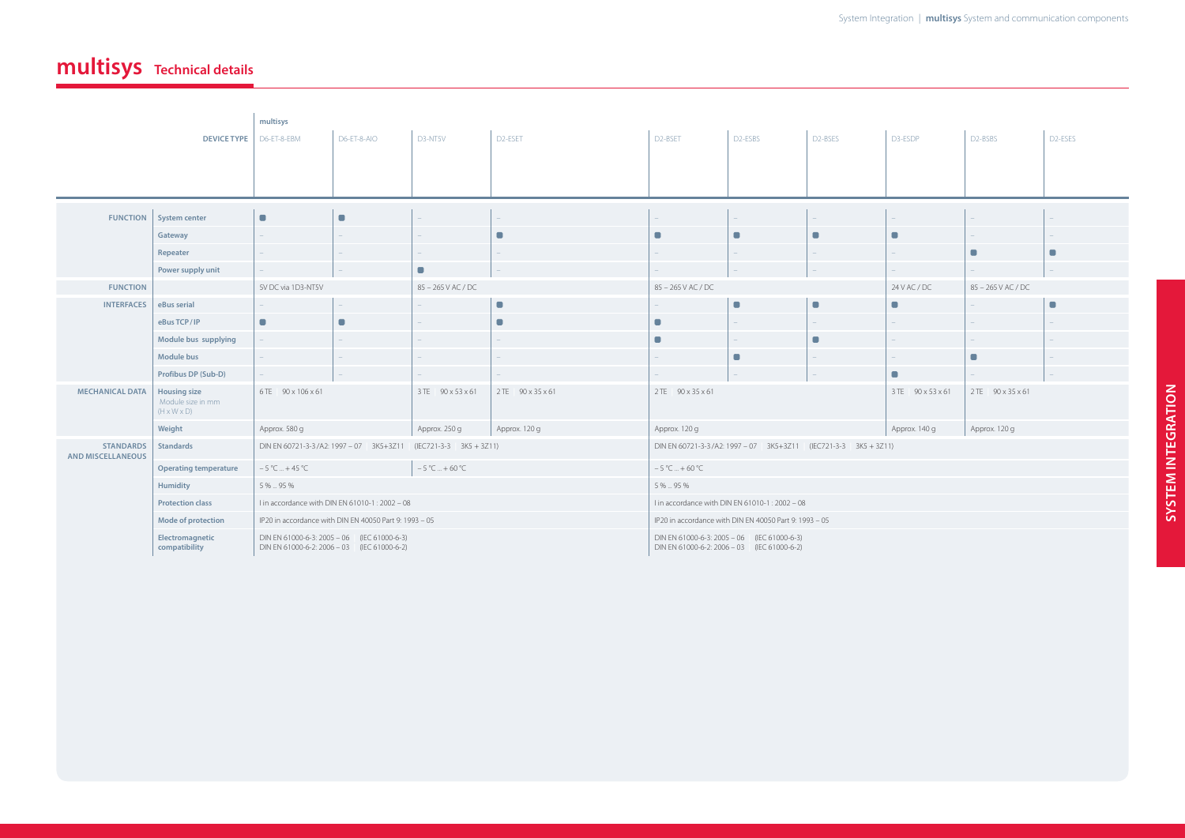# **multisys Technical details**

|                                                                                               | <b>DEVICE TYPE</b>           | multisys<br>D6-ET-8-EBM                                                                    | D6-ET-8-AIO                                                              | D3-NT5V            | D2-ESET                                                                                    | D <sub>2</sub> -BSET           | D <sub>2</sub> -ESBS | D2-BSES        | D3-ESDP            | D <sub>2</sub> -BSBS | D <sub>2</sub> -ESES |
|-----------------------------------------------------------------------------------------------|------------------------------|--------------------------------------------------------------------------------------------|--------------------------------------------------------------------------|--------------------|--------------------------------------------------------------------------------------------|--------------------------------|----------------------|----------------|--------------------|----------------------|----------------------|
|                                                                                               |                              |                                                                                            |                                                                          |                    |                                                                                            |                                |                      |                |                    |                      |                      |
| <b>FUNCTION</b>                                                                               | <b>System center</b>         | $\qquad \qquad \blacksquare$                                                               | $\blacksquare$                                                           |                    |                                                                                            |                                |                      |                |                    |                      |                      |
|                                                                                               | Gateway                      |                                                                                            |                                                                          |                    | $\blacksquare$                                                                             | П                              | $\blacksquare$       |                | $\blacksquare$     |                      |                      |
|                                                                                               | Repeater                     |                                                                                            |                                                                          |                    |                                                                                            |                                |                      |                |                    | $\blacksquare$       | $\blacksquare$       |
|                                                                                               | Power supply unit            |                                                                                            |                                                                          | $\blacksquare$     |                                                                                            |                                |                      |                |                    |                      |                      |
| <b>FUNCTION</b>                                                                               |                              | 5V DC via 1D3-NT5V                                                                         |                                                                          | 85 - 265 V AC / DC |                                                                                            | 85 - 265 V AC / DC             |                      | 24 V AC / DC   | 85 - 265 V AC / DC |                      |                      |
| <b>INTERFACES</b>                                                                             | eBus serial                  | $\equiv$                                                                                   |                                                                          |                    | $\blacksquare$                                                                             |                                | $\blacksquare$       | $\blacksquare$ | $\blacksquare$     |                      | $\blacksquare$       |
|                                                                                               | eBus TCP/IP                  | $\blacksquare$                                                                             | $\blacksquare$                                                           |                    | $\blacksquare$                                                                             | $\Box$                         |                      |                | $-$                |                      |                      |
|                                                                                               | Module bus supplying         | $\overline{\phantom{a}}$                                                                   |                                                                          |                    |                                                                                            | $\Box$                         | $-$                  | $\blacksquare$ | $\equiv$ .         | $\sim$ .             |                      |
|                                                                                               | <b>Module bus</b>            | $-$                                                                                        |                                                                          |                    |                                                                                            |                                | $\blacksquare$       |                | $\sim$             | $\blacksquare$       |                      |
|                                                                                               | Profibus DP (Sub-D)          | $-$                                                                                        |                                                                          |                    |                                                                                            |                                |                      |                | $\blacksquare$     |                      |                      |
| <b>MECHANICAL DATA</b><br><b>Housing size</b><br>Module size in mm<br>$(H \times W \times D)$ |                              | 6TE 90 x 106 x 61                                                                          |                                                                          | 3 TE 90 x 53 x 61  | 2 TE   90 x 35 x 61                                                                        | 2 TE 90 x 35 x 61              |                      |                | 3 TE 90 x 53 x 61  | 2 TE   90 x 35 x 61  |                      |
|                                                                                               | Weight                       | Approx. 580 g                                                                              |                                                                          | Approx. 250 g      | Approx. 120 g                                                                              | Approx. 120 g<br>Approx. 140 g |                      | Approx. 120 g  |                    |                      |                      |
| <b>STANDARDS</b><br><b>AND MISCELLANEOUS</b>                                                  | <b>Standards</b>             |                                                                                            | DIN EN 60721-3-3/A2: 1997 - 07   3K5+3Z11<br>$(IEC721-3-3   3K5 + 3Z11)$ |                    | DIN EN 60721-3-3/A2: 1997 - 07   3K5+3Z11 (IEC721-3-3   3K5 + 3Z11)                        |                                |                      |                |                    |                      |                      |
|                                                                                               | <b>Operating temperature</b> | $-5 °C  + 45 °C$                                                                           | $-5 °C  + 60 °C$                                                         |                    |                                                                                            | $-5$ °C  + 60 °C               |                      |                |                    |                      |                      |
|                                                                                               | <b>Humidity</b>              | 5 %  95 %                                                                                  |                                                                          |                    | 5 %  95 %                                                                                  |                                |                      |                |                    |                      |                      |
|                                                                                               | <b>Protection class</b>      | I in accordance with DIN EN 61010-1: 2002 - 08                                             |                                                                          |                    | I in accordance with DIN EN 61010-1: 2002 - 08                                             |                                |                      |                |                    |                      |                      |
|                                                                                               | Mode of protection           | IP20 in accordance with DIN EN 40050 Part 9: 1993 - 05                                     |                                                                          |                    | IP20 in accordance with DIN EN 40050 Part 9: 1993 - 05                                     |                                |                      |                |                    |                      |                      |
| Electromagnetic<br>compatibility                                                              |                              | DIN EN 61000-6-3: 2005 - 06 (IEC 61000-6-3)<br>DIN EN 61000-6-2: 2006 - 03 (IEC 61000-6-2) |                                                                          |                    | DIN EN 61000-6-3: 2005 - 06 (IEC 61000-6-3)<br>DIN EN 61000-6-2: 2006 - 03 (IEC 61000-6-2) |                                |                      |                |                    |                      |                      |

| 03-ESDP                  | D2-BSBS            | D2-ESES |
|--------------------------|--------------------|---------|
|                          |                    |         |
|                          |                    |         |
|                          |                    |         |
| f,                       |                    |         |
| J                        |                    |         |
| $\overline{a}$           | г                  |         |
| $\overline{a}$           |                    |         |
| 4 V AC / DC              | 85 - 265 V AC / DC |         |
| ٦                        |                    | n       |
| f,                       |                    |         |
| $\overline{\phantom{a}}$ |                    |         |
| f,                       | n                  |         |
| J                        |                    |         |
| TE 90 x 53 x 61          | 2 TE 90 x 35 x 61  |         |
| Approx. 140 g            | Approx. 120 g      |         |
|                          |                    |         |
|                          |                    |         |